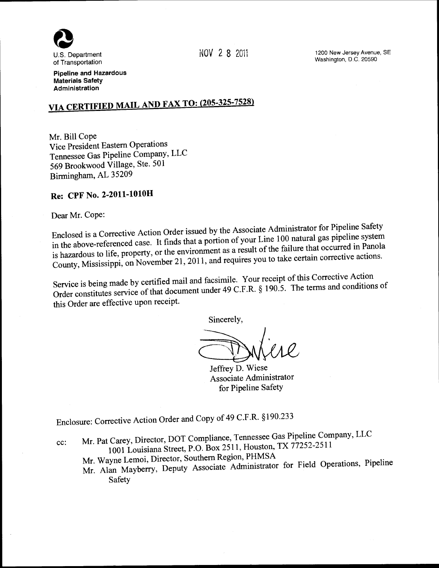

NOV 2 8 201i

1200 New Jersey Avenue, SE Washington, D.C. 20590

Pipeline and Hazardous Materials Safety Administration

# VIA CERTIFIED MAIL AND FAX TO: (205-325-7528)

Mr. Bill Cope Vice President Eastern Operations Tennessee Gas Pipeline Company, LLC 569 Brookwood Village, Ste. 501 Birmingham, AL 35209

# Re: CPF No. 2-2011-lOlOH

Dear Mr. Cope:

Enclosed is a Corrective Action Order issued by the Associate Administrator for Pipeline Safety in the above-referenced case. It finds that a portion of your Line 1 00 natural gas pipeline system is hazardous to life, property, or the environment as a result of the failure that occurred in Panola County, Mississippi, on November 21, 2011, and requires you to take certain corrective actions.

Service is being made by certified mail and facsimile. Your receipt of this Corrective Action Order constitutes service of that document under 49 C.F.R. § 190.5. The terms and conditions of this Order are effective upon receipt.

Sincerely,

Jeffrey D. Wiese Associate Administrator for Pipeline Safety

Enclosure: Corrective Action Order and Copy of 49 C.F.R. § 190.233

cc: Mr. Pat Carey, Director, DOT Compliance, Tennessee Gas Pipeline Company, LLC 1001 Louisiana Street, P.O. Box 2511, Houston, TX 77252-2511

Mr. Wayne Lemoi, Director, Southern Region, PHMSA

Mr. Alan Mayberry, Deputy Associate Administrator for Field Operations, Pipeline Safety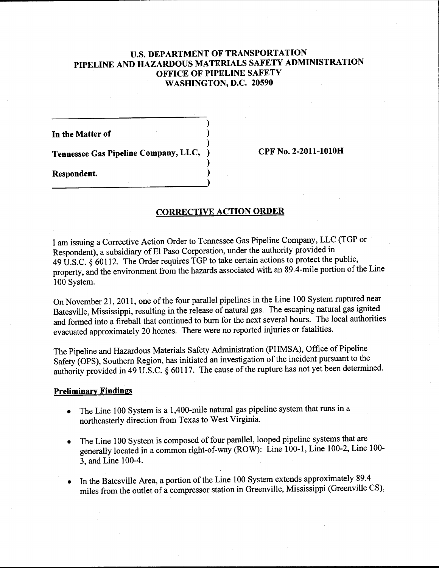# **U.S. DEPARTMENT OF TRANSPORTATION PIPELINE AND HAZARDOUS MATERIALS SAFETY ADMINISTRATION OFFICE OF PIPELINE SAFETY WASHINGTON, D.C. 20590**

)

)

)

**In the Matter of** )

**Tennessee Gas Pipeline Company, LLC,** ) **CPF No. 2-2011-lOlOH** 

**Respondent.** )

## **CORRECTIVE ACTION ORDER**

I am issuing a Corrective Action Order to Tennessee Gas Pipeline Company, LLC (TGP or · Respondent), a subsidiary of El Paso Corporation, under the authority provided in 49 U.S.C. § 60112. The Order requires TGP to take certain actions to protect the public, property, and the environment from the hazards associated with an 89.4-mile portion of the Line 100 System.

On November 21, 2011, one of the four parallel pipelines in the Line 100 System ruptured near Batesville, Mississippi, resulting in the release of natural gas. The escaping natural gas ignited and formed into a fireball that continued to bum for the next several hours. The local authorities evacuated approximately 20 homes. There were no reported injuries or fatalities.

The Pipeline and Hazardous Materials Safety Administration (PHMSA), Office of Pipeline Safety (OPS), Southern Region, has initiated an investigation of the incident pursuant to the authority provided in 49 U.S.C. § 60117. The cause of the rupture has not yet been determined.

### **Preliminary Findings**

- The Line 100 System is a 1,400-mile natural gas pipeline system that runs in a northeasterly direction from Texas to West Virginia.
- The Line 100 System is composed of four parallel, looped pipeline systems that are generally located in a common right-of-way (ROW): Line 100-1, Line 100-2, Line 100- 3, and Line 100-4.
- In the Batesville Area, a portion of the Line 100 System extends approximately 89.4 miles from the outlet of a compressor station in Greenville, Mississippi (Greenville CS),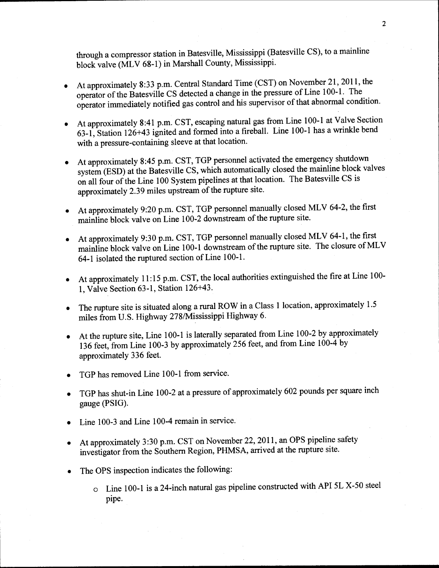through a compressor station in Batesville, Mississippi (Batesville CS), to a mainline block valve (MLV 68-1) in Marshall County, Mississippi.

- At approximately 8:33 p.m. Central Standard Time (CST) on November 21, 2011, the operator of the Batesville CS detected a change in the pressure of Line 100-1. The operator immediately notified gas control and his supervisor of that abnormal condition.
- At approximately 8:41 p.m. CST, escaping natural gas from Line 100-1 at Valve Section 63-1, Station 126+43 ignited and formed into a fireball. Line 100-1 has a wrinkle bend with a pressure-containing sleeve at that location.
- At approximately 8:45 p.m. CST, TGP personnel activated the emergency shutdown system (ESD) at the Batesville CS, which automatically closed the mainline block valves on all four of the Line 100 System pipelines at that location. The Batesville CS is approximately 2.39 miles upstream of the rupture site.
- At approximately 9:20 p.m. CST, TGP personnel manually closed MLV 64-2, the first mainline block valve on Line 100-2 downstream of the rupture site.
- At approximately 9:30 p.m. CST, TGP personnel manually closed MLV 64-1, the first mainline block valve on Line 100-1 downstream of the rupture site. The closure of MLV 64-1 isolated the ruptured section of Line 100-1.
- At approximately 11:15 p.m. CST, the local authorities extinguished the fire at Line 100- 1, Valve Section 63-1, Station 126+43.
- The rupture site is situated along a rural ROW in a Class 1 location, approximately 1.5 miles from U.S. Highway 278/Mississippi Highway 6.
- At the rupture site, Line 100-1 is laterally separated from Line 100-2 by approximately 136 feet, from Line 100-3 by approximately 256 feet, and from Line 100-4 by approximately 336 feet.
- TGP has removed Line 100-1 from service.
- TGP has shut-in Line 100-2 at a pressure of approximately 602 pounds per square inch gauge (PSIG).
- Line 100-3 and Line 100-4 remain in service.
- At approximately 3:30 p.m. CST on November 22, 2011, an OPS pipeline safety investigator from the Southern Region, PHMSA, arrived at the rupture site.
- The OPS inspection indicates the following:
	- o Line 100-1 is a 24-inch natural gas pipeline constructed with API SL X-50 steel pipe.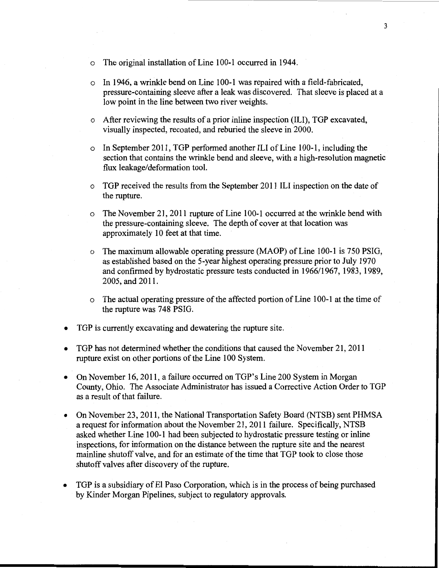- o The original installation of Line 100-1 occurred in 1944.
- $\circ$  In 1946, a wrinkle bend on Line 100-1 was repaired with a field-fabricated, pressure-containing sleeve after a leak was discovered. That sleeve is placed at a low point in the line between two river weights.
- $\circ$  After reviewing the results of a prior inline inspection (ILI), TGP excavated, visually inspected, recoated, and reburied the sleeve in 2000.
- o In September 2011, TGP performed another ILl of Line 100-1, including the section that contains the wrinkle bend and sleeve, with a high-resolution magnetic flux leakage/deformation tool.
- o TGP received the results from the September 2011 ILl inspection on the date of the rupture.
- o The November 21, 2011 rupture of Line 100-1 occurred at the wrinkle bend with the pressure-containing sleeve. The depth of cover at that location was approximately 10 feet at that time.
- o The maximum allowable operating pressure (MAOP) of Line 100-1 is 750 PSIG, as established based on the 5-year highest operating pressure prior to July 1970 and confirmed by hydrostatic pressure tests conducted in 1966/1967, 1983, 1989, 2005, and 2011.
- o The actual operating pressure of the affected portion of Line 100-1 at the time of the rupture was 748 PSIG.
- TGP is currently excavating and dewatering the rupture site.
- TGP has not determined whether the conditions that caused the November 21, 2011 rupture exist on other portions of the Line 100 System.
- On November 16, 2011, a failure occurred on TGP's Line 200 System in Morgan County, Ohio. The Associate Administrator has issued a Corrective Action Order to TGP as a result of that failure.
- On November 23,2011, the National Transportation Safety Board (NTSB) sent PHMSA a request for information about the November 21, 2011 failure. Specifically, NTSB asked whether Line 100-1 had been subjected to hydrostatic pressure testing or inline inspections, for information on the distance between the rupture site and the nearest mainline shutoff valve, and for an estimate of the time that TGP took to close those shutoff valves after discovery of the rupture.
- TGP is a subsidiary of El Paso Corporation, which is in the process of being purchased by Kinder Morgan Pipelines, subject to regulatory approvals.

3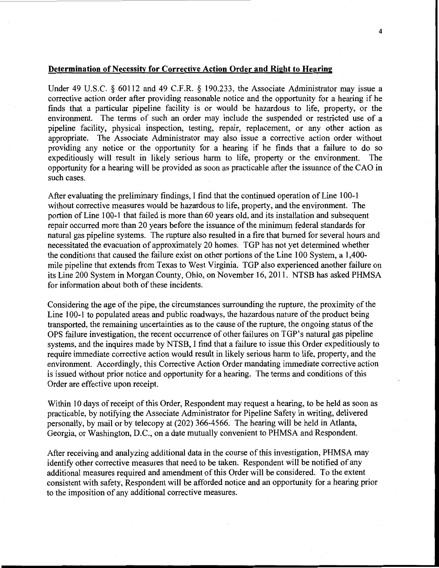#### **Determination of Necessity for Corrective Action Order and Right to Hearing**

Under 49 U.S.C. § 60112 and 49 C.F.R. § 190.233, the Associate Administrator may issue a corrective action order after providing reasonable notice and the opportunity for a hearing if he finds that a particular pipeline facility is or would be hazardous to life, property, or the environment. The terms of such an order may include the suspended or restricted use of a pipeline facility, physical inspection, testing, repair, replacement, or any other action as appropriate. The Associate Administrator may also issue a corrective action order without providing any notice or the opportunity for a hearing if he finds that a failure to do so expeditiously will result in likely serious harm to life, property or the environment. The opportunity for a hearing will be provided as soon as practicable after the issuance of the CAO in such cases.

After evaluating the preliminary findings, I find that the continued operation of Line 100-1 without corrective measures would be hazardous to life, property, and the environment. The portion of Line 100-1 that failed is more than 60 years old, and its installation and subsequent repair occurred more than 20 years before the issuance of the minimum federal standards for natural gas pipeline systems. The rupture also resulted in a fire that burned for several hours and necessitated the evacuation of approximately 20 homes. TGP has not yet determined whether the conditions that caused the failure exist on other portions of the Line 100 System, a 1,400 mile pipeline that extends from Texas to West Virginia. TGP also experienced another failure on its Line 200 System in Morgan County, Ohio, on November 16,2011. NTSB has asked PHMSA for information about both of these incidents.

Considering the age of the pipe, the circumstances surrounding the rupture, the proximity of the Line 100-1 to populated areas and public roadways, the hazardous nature of the product being transported, the remaining uncertainties as to the cause of the rupture, the ongoing status of the OPS failure investigation, the recent occurrence of other failures on TGP's natural gas pipeline systems, and the inquires made by NTSB, I find that a failure to issue this Order expeditiously to require immediate corrective action would result in likely serious harm to life, property, and the environment. Accordingly, this Corrective Action Order mandating immediate corrective action is issued without prior notice and opportunity for a hearing. The terms and conditions of this Order are effective upon receipt.

Within 10 days of receipt of this Order, Respondent may request a hearing, to be held as soon as practicable, by notifying the Associate Administrator for Pipeline Safety in writing, delivered personally, by mail or by telecopy at (202) 366-4566. The hearing will be held in Atlanta, Georgia, or Washington, D.C., on a date mutually convenient to PHMSA and Respondent.

After receiving and analyzing additional data in the course of this investigation, PHMSA may identify other corrective measures that need to be taken. Respondent will be notified of any additional measures required and amendment of this Order will be considered. To the extent consistent with safety, Respondent will be afforded notice and an opportunity for a hearing prior to the imposition of any additional corrective measures.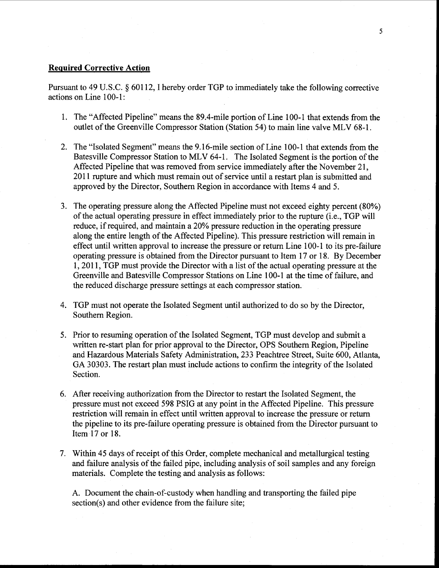#### **Required Corrective Action**

Pursuant to 49 U.S.C. § 60112, I hereby order TGP to immediately take the following corrective actions on Line 100-1:

- 1. The "Affected Pipeline" means the 89.4-mile portion of Line 100-1 that extends from the outlet of the Greenville Compressor Station (Station 54) to main line valve MLV 68-1.
- 2. The "Isolated Segment" means the 9 .16-mile section of Line 100-1 that extends from the Batesville Compressor Station to MLV 64-1. The Isolated Segment is the portion of the Affected Pipeline that was removed from service immediately after the November 21, 2011 rupture and which must remain out of service until a restart plan is submitted and approved by the Director, Southern Region in accordance with Items 4 and 5.
- 3. The operating pressure along the Affected Pipeline must not exceed eighty percent (80%) of the actual operating pressure in effect immediately prior to the rupture (i.e., TGP will reduce, if required, and maintain a 20% pressure reduction in the operating pressure along the entire length of the Affected Pipeline). This pressure restriction will remain in effect until written approval to increase the pressure or return Line 100-1 to its pre-failure operating pressure is obtained from the Director pursuant to Item 17 or 18. By December 1, 2011, TGP must provide the Director with a list of the actual operating pressure at the Greenville and Batesville Compressor Stations on Line 1 00-1 at the time of failure, and the reduced discharge pressure settings at each compressor station.
- 4. TGP must not operate the Isolated Segment until authorized to do so by the Director, Southern Region.
- 5. Prior to resuming operation of the Isolated Segment, TGP must develop and submit a written re-start plan for prior approval to the Director, OPS Southern Region, Pipeline and Hazardous Materials Safety Administration, 233 Peachtree Street, Suite 600, Atlanta, GA 30303. The restart plan must include actions to confirm the integrity of the Isolated Section.
- 6. After receiving authorization from the Director to restart the Isolated Segment, the pressure must not exceed 598 PSIG at any point in the Affected Pipeline. This pressure restriction will remain in effect until written approval to increase the pressure or return the pipeline to its pre-failure operating pressure is obtained from the Director pursuant to Item 17 or 18.
- 7. Within 45 days of receipt of this Order, complete mechanical and metallurgical testing and failure analysis of the failed pipe, including analysis of soil samples and any foreign materials. Complete the testing and analysis as follows:

A. Document the chain-of-custody when handling and transporting the failed pipe section(s) and other evidence from the failure site;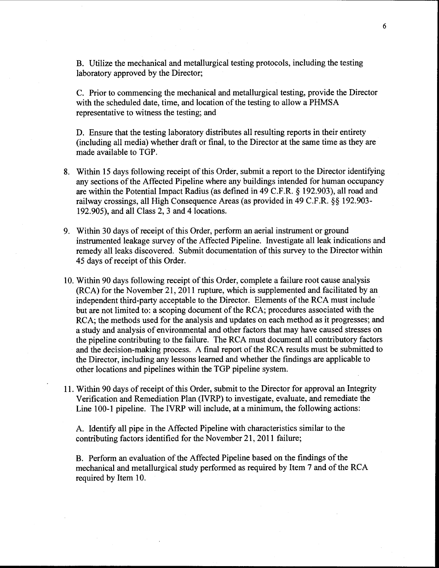B. Utilize the mechanical and metallurgical testing protocols, including the testing laboratory approved by the Director;

C. Prior to commencing the mechanical and metallurgical testing, provide the Director with the scheduled date, time, and location of the testing to allow a PHMSA representative to witness the testing; and

D. Ensure that the testing laboratory distributes all resulting reports in their entirety (including all media) whether draft or final, to the Director at the same time as they are made available to TGP.

- 8. Within 15 days following receipt of this Order, submit a report to the Director identifying any sections of the Affected Pipeline where any buildings intended for human occupancy are within the Potential Impact Radius (as defined in 49 C.P.R.§ 192.903), all road and railway crossings, all High Consequence Areas (as provided in 49 C.P.R.§§ 192.903- 192.905), and all Class 2, 3 and 4 locations.
- 9. Within 30 days of receipt of this Order, perform an aerial instrument or ground instrumented leakage survey of the Affected Pipeline. Investigate all leak indications and remedy all leaks discovered. Submit documentation of this survey to the Director within 45 days of receipt of this Order.
- 10. Within 90 days following receipt of this Order, complete a failure root cause analysis (RCA) for the November 21, 2011 rupture, which is supplemented and facilitated by an independent third-party acceptable to the Director. Elements of the RCA must include · but are not limited to: a scoping document of the RCA; procedures associated with the RCA; the methods used for the analysis and updates on each method as it progresses; and a study and analysis of environmental and other factors that may have caused stresses on the pipeline contributing to the failure. The RCA must document all contributory factors and the decision-making process. A final report of the RCA results must be submitted to the Director, including any lessons learned and whether the findings are applicable to other locations and pipelines within the TGP pipeline system.
- 11. Within 90 days of receipt of this Order, submit to the Director for approval an Integrity Verification and Remediation Plan (IVRP) to investigate, evaluate, and remediate the Line 100-1 pipeline. The IVRP will include, at a minimum, the following actions:

A. Identify all pipe in the Affected Pipeline with characteristics similar to the contributing factors identified for the November 21, 2011 failure;

B. Perform an evaluation of the Affected Pipeline based on the findings of the mechanical and metallurgical study performed as required by Item 7 and of the RCA required by Item 10.

6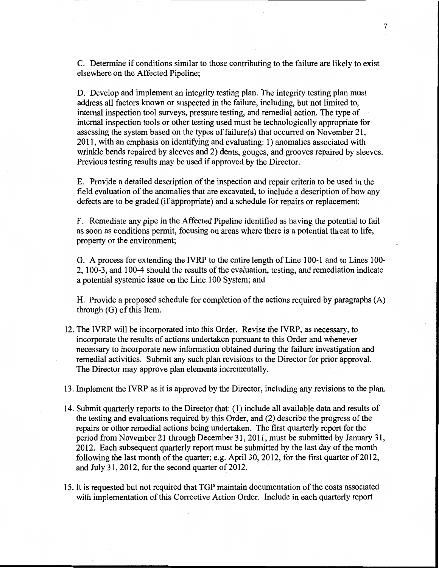C. Determine if conditions similar to those contributing to the failure are likely to exist elsewhere on the Affected Pipeline;

D. Develop and implement an integrity testing plan. The integrity testing plan must address all factors known or suspected in the failure, including, but not limited to, internal inspection tool surveys, pressure testing, and remedial action. The type of internal inspection tools or other testing used must be technologically appropriate for assessing the system based on the types of failure(s) that occurred on November 21, 2011, with an emphasis on identifying and evaluating: 1) anomalies associated with wrinkle bends repaired by sleeves and 2) dents, gouges, and grooves repaired by sleeves. Previous testing results may be used if approved by the Director.

E. Provide a detailed description of the inspection and repair criteria to be used in the field evaluation of the anomalies that are excavated, to include a description of how any defects are to be graded (if appropriate) and a schedule for repairs or replacement;

F. Remediate any pipe in the Affected Pipeline identified as having the potential to fail as soon as conditions permit, focusing on areas where there is a potential threat to life, property or the environment;

G. A process for extending the IVRP to the entire length of Line 100-1 and to Lines 100- 2, 100-3, and 100-4 should the results of the evaluation, testing, and remediation indicate a potential systemic issue on the Line 100 System; and

H. Provide a proposed schedule for completion of the actions required by paragraphs (A) through (G) of this Item.

12. The IVRP will be incorporated into this Order. Revise the IVRP, as necessary, to incorporate the results of actions undertaken pursuant to this Order and whenever necessary to incorporate new information obtained during the failure investigation and remedial activities. Submit any such plan revisions to the Director for prior approval. The Director may approve plan elements incrementally.

13. Implement the IVRP as it is approved by the Director, including any revisions to the plan.

- 14. Submit quarterly reports to the Director that: (1) include all available data and results of the testing and evaluations required by this Order, and (2) describe the progress of the repairs or other remedial actions being undertaken. The first quarterly report for the period from November 21 through December 31, 2011, must be submitted by January 31, 2012. Each subsequent quarterly report must be submitted by the last day of the month following the last month of the quarter; e.g. April 30, 2012, for the first quarter of  $2012$ , and July 31, 2012, for the second quarter of 2012.
- 15. It is requested but not required that TGP maintain documentation of the costs associated with implementation of this Corrective Action Order. Include in each quarterly report

7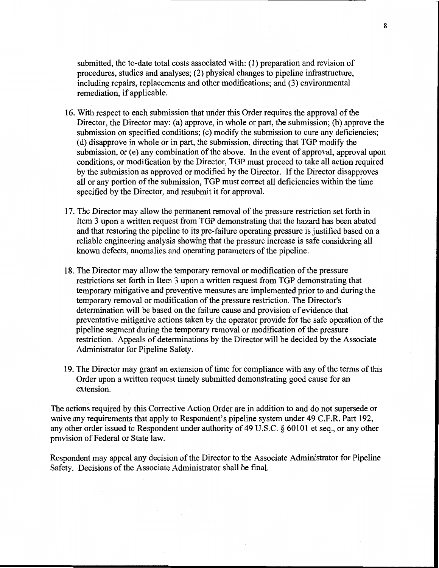submitted, the to-date total costs associated with: (1) preparation and revision of procedures, studies and analyses; (2) physical changes to pipeline infrastructure, including repairs, replacements and other modifications; and (3) environmental remediation, if applicable.

- 16. With respect to each submission that under this Order requires the approval of the Director, the Director may: (a) approve, in whole or part, the submission; (b) approve the submission on specified conditions; (c) modify the submission to cure any deficiencies; (d) disapprove in whole or in part, the submission, directing that TOP modify the submission, or (e) any combination of the above. In the event of approval, approval upon conditions, or modification by the Director, TOP must proceed to take all action required by the submission as approved or modified by the Director. If the Director disapproves all or any portion of the submission, TOP must correct all deficiencies within the time specified by the Director, and resubmit it for approval.
- 17. The Director may allow the permanent removal of the pressure restriction set forth in Item 3 upon a written request from TOP demonstrating that the hazard has been abated and that restoring the pipeline to its pre-failure operating pressure is justified based on a reliable engineering analysis showing that the pressure increase is safe considering all known defects, anomalies and operating parameters of the pipeline.
- 18. The Director may allow the temporary removal or modification of the pressure restrictions set forth in Item 3 upon a written request from TOP demonstrating that temporary mitigative and preventive measures are implemented prior to and during the temporary removal or modification of the pressure restriction. The Director's determination will be based on the failure cause and provision of evidence that preventative mitigative actions taken by the operator provide for the safe operation of the pipeline segment during the temporary removal or modification of the pressure restriction. Appeals of determinations by the Director will be decided by the Associate Administrator for Pipeline Safety.
- 19. The Director may grant an extension of time for compliance with any of the terms of this Order upon a written request timely submitted demonstrating good cause for an extension.

The actions required by this Corrective Action Order are in addition to and do not supersede or waive any requirements that apply to Respondent's pipeline system under 49 C.F.R. Part 192, any other order issued to Respondent under authority of 49 U.S.C. § 60101 et seq., or any other provision of Federal or State law.

Respondent may appeal any decision of the Director to the Associate Administrator for Pipeline Safety. Decisions of the Associate Administrator shall be final.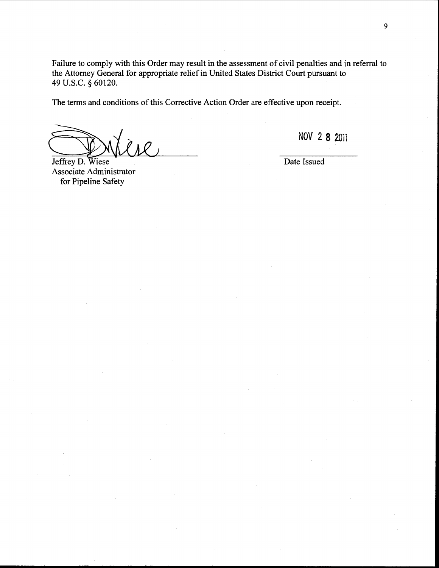Failure to comply with this Order may result in the assessment of civil penalties and in referral to the Attorney General for appropriate relief in United States District Court pursuant to 49 U.S.C. *§* 60120.

The terms and conditions of this Corrective Action Order are effective upon receipt.

Jeffrey D. Wiese

Associate Administrator for Pipeline Safety

**NOV 2 8** 201i

Date Issued